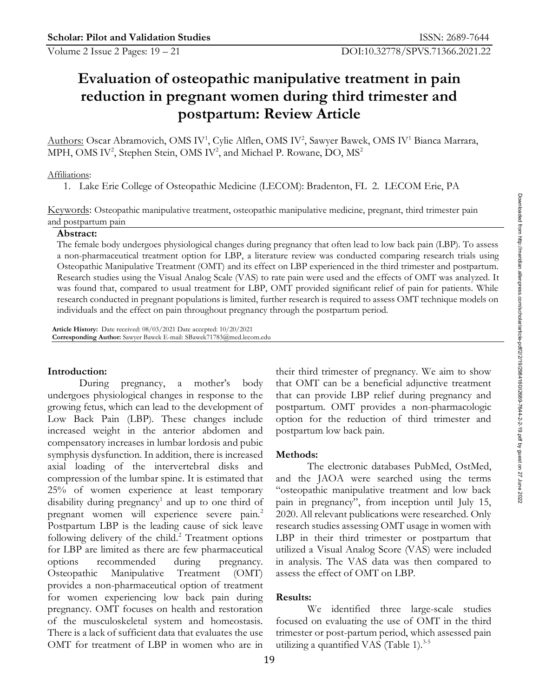# **Evaluation of osteopathic manipulative treatment in pain reduction in pregnant women during third trimester and postpartum: Review Article**

Authors: Oscar Abramovich, OMS IV<sup>1</sup>, Cylie Alflen, OMS IV<sup>2</sup>, Sawyer Bawek, OMS IV<sup>1</sup> Bianca Marrara, MPH, OMS IV<sup>2</sup>, Stephen Stein, OMS IV<sup>2</sup>, and Michael P. Rowane, DO, MS<sup>2</sup>

#### Affiliations:

1. Lake Erie College of Osteopathic Medicine (LECOM): Bradenton, FL 2. LECOM Erie, PA

Keywords: Osteopathic manipulative treatment, osteopathic manipulative medicine, pregnant, third trimester pain and postpartum pain

#### **Abstract:**

The female body undergoes physiological changes during pregnancy that often lead to low back pain (LBP). To assess a non-pharmaceutical treatment option for LBP, a literature review was conducted comparing research trials using Osteopathic Manipulative Treatment (OMT) and its effect on LBP experienced in the third trimester and postpartum. Research studies using the Visual Analog Scale (VAS) to rate pain were used and the effects of OMT was analyzed. It was found that, compared to usual treatment for LBP, OMT provided significant relief of pain for patients. While research conducted in pregnant populations is limited, further research is required to assess OMT technique models on individuals and the effect on pain throughout pregnancy through the postpartum period. **Keywords:** Ostropathic manipulative treatment, osteopathic manipulative medicine, pregnant, third trimester pain<br> **Abstract:**<br>
The fermale body undergoes physiological changes during pregnancy that often lead to low back

**Article History:** Date received: 08/03/2021 Date accepted: 10/20/2021 **Corresponding Author:** Sawyer Bawek E-mail: SBawek71783@med.lecom.edu

growing fetus, which can lead to the development of postpartum. OMT provides a non-pharmacologic  $\frac{1}{2}$ Low Back Pain (LBP). These changes include option for the reduction of third trimester and  $\frac{1}{N}$ increased weight in the anterior abdomen and postpartum low back pain. compensatory increases in lumbar lordosis and pubic 8 symphysis dysfunction. In addition, there is increased Methods: axial loading of the intervertebral disks and compression of the lumbar spine. It is estimated that and the JAOA were searched using the terms  $\frac{3}{5}$ 25% of women experience at least temporary 12 disability during pregnancy<sup>1</sup> and up to one third of pregnant women will experience severe pain.<sup>2</sup> Postpartum LBP is the leading cause of sick leave research studies assessing OMT usage in women with following delivery of the child. $2$  Treatment options for LBP are limited as there are few pharmaceutical utilized a Visual Analog Score (VAS) were included options recommended during pregnancy. in analysis. The VAS data was then compared to Osteopathic Manipulative Treatment (OMT) assess the effect of OMT on LBP. provides a non-pharmaceutical option of treatment for women experiencing low back pain during Results: pregnancy. OMT focuses on health and restoration of the musculoskeletal system and homeostasis. There is a lack of sufficient data that evaluates the use trimester or post-partum period, which assessed pain OMT for treatment of LBP in women who are in

**Introduction:** 2 their third trimester of pregnancy. We aim to show 26 During pregnancy, a mother's body that OMT can be a beneficial adjunctive treatment  $\frac{1}{2}$ that can provide LBP relief during pregnancy and postpartum low back pain.

# **Methods:**  $\frac{9}{8}$

and up to one third of pain in pregnancy", from inception until July 15,  $\frac{8}{15}$ The electronic databases PubMed, OstMed, 34 "osteopathic manipulative treatment and low back 36 2020. All relevant publications were researched. Only 38  $LBP$  in their third trimester or postpartum that assess the effect of OMT on LBP. Frimester pain<br>
ain (LBP). To assess<br>
research trials using<br>
MT was analyzed. It<br>
for patients. While<br>
echnique models on<br>
seeming the comparison of the streament<br>
greep articles-press.com/school<br>
trimester and<br>
greep preg

# **Results:**  $\blacksquare$

We identified three large-scale studies focused on evaluating the use of OMT in the third utilizing a quantified VAS (Table 1). $3-5$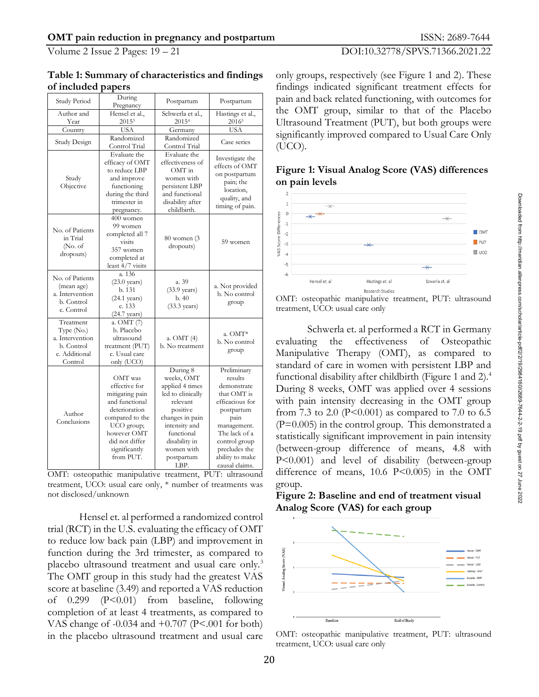### Volume 2 Issue 2 Pages: 19 – 21 DOI:10.32778/SPVS.71366.2021.22

| Table 1: Summary of characteristics and findings only groups, respectively (see Figure 1 and 2). These |                                                    |
|--------------------------------------------------------------------------------------------------------|----------------------------------------------------|
| of included papers                                                                                     | ndings indicated significant treatment effects for |

| Study Period                                                                           | During<br>Pregnancy                                                                                                                                                                                                                          | Postpartum                                                                                                                                                                                    | Postpartum                                                                                                                                                                                           | pain and back related functioning, with outcomes for                                                                                                                                                                                                                                                                                                                                                                                                                                                                                                                                                                                                             |  |  |
|----------------------------------------------------------------------------------------|----------------------------------------------------------------------------------------------------------------------------------------------------------------------------------------------------------------------------------------------|-----------------------------------------------------------------------------------------------------------------------------------------------------------------------------------------------|------------------------------------------------------------------------------------------------------------------------------------------------------------------------------------------------------|------------------------------------------------------------------------------------------------------------------------------------------------------------------------------------------------------------------------------------------------------------------------------------------------------------------------------------------------------------------------------------------------------------------------------------------------------------------------------------------------------------------------------------------------------------------------------------------------------------------------------------------------------------------|--|--|
| Author and                                                                             | Hensel et al.,                                                                                                                                                                                                                               | Schwerla et al.,                                                                                                                                                                              | Hastings et al.,                                                                                                                                                                                     | the OMT group, similar to that of the Placebo                                                                                                                                                                                                                                                                                                                                                                                                                                                                                                                                                                                                                    |  |  |
| Year                                                                                   | $2015^3$                                                                                                                                                                                                                                     | 2015 <sup>4</sup>                                                                                                                                                                             | 2016 <sup>5</sup>                                                                                                                                                                                    | Ultrasound Treatment (PUT), but both groups were                                                                                                                                                                                                                                                                                                                                                                                                                                                                                                                                                                                                                 |  |  |
| Country                                                                                | <b>USA</b>                                                                                                                                                                                                                                   | Germany                                                                                                                                                                                       | <b>USA</b>                                                                                                                                                                                           | significantly improved compared to Usual Care Only                                                                                                                                                                                                                                                                                                                                                                                                                                                                                                                                                                                                               |  |  |
| Study Design                                                                           | Randomized<br>Control Trial                                                                                                                                                                                                                  | Randomized<br>Control Trial                                                                                                                                                                   | Case series                                                                                                                                                                                          | (UCO).                                                                                                                                                                                                                                                                                                                                                                                                                                                                                                                                                                                                                                                           |  |  |
| Study<br>Objective                                                                     | Evaluate the<br>efficacy of OMT<br>to reduce LBP<br>and improve<br>functioning<br>during the third<br>trimester in<br>pregnancy.                                                                                                             | Evaluate the<br>effectiveness of<br>OMT in<br>women with<br>persistent LBP<br>and functional<br>disability after<br>childbirth.                                                               | Investigate the<br>effects of OMT<br>on postpartum<br>pain; the<br>location,<br>quality, and<br>timing of pain.                                                                                      | Figure 1: Visual Analog Score (VAS) differences<br>on pain levels<br>Downloaded from<br>$\mathbf{1}$<br>$\overline{\varkappa}$<br>$\mathbb O$                                                                                                                                                                                                                                                                                                                                                                                                                                                                                                                    |  |  |
| No. of Patients<br>in Trial<br>(No. of)<br>dropouts)                                   | 400 women<br>99 women<br>completed all 7<br>visits<br>357 women<br>completed at<br>least 4/7 visits                                                                                                                                          | 80 women (3<br>dropouts)                                                                                                                                                                      | 59 women                                                                                                                                                                                             | Score Differences<br>$\times^{\star}$<br>$\overline{\mathsf{X}}$<br>$^{\rm -1}$<br>$\Box$ OMT<br>$-2$<br>http://meridian.al<br>$\Box$ PUT<br>$-3$<br>$\overline{\ast}$<br>VAS<br>$\Box$ UCO<br>$-4$<br>$-5$<br>$\overline{\mathsf{X}}$                                                                                                                                                                                                                                                                                                                                                                                                                           |  |  |
| No. of Patients<br>(mean age)<br>a. Intervention<br>b. Control<br>c. Control           | a. 136<br>$(23.0 \text{ years})$<br>b. 131<br>$(24.1 \text{ years})$<br>c. 133<br>$(24.7 \text{ years})$                                                                                                                                     | a. 39<br>$(33.9 \text{ years})$<br>b.40<br>$(33.3 \text{ years})$                                                                                                                             | a. Not provided<br>b. No control<br>group                                                                                                                                                            | $-6$<br>enpress<br>Scwerla et. al<br>Hensel et. al<br>Hastings et. al<br>Research Studies<br>OMT: osteopathic manipulative treatment, PUT: ultrasound<br>treatment, UCO: usual care only                                                                                                                                                                                                                                                                                                                                                                                                                                                                         |  |  |
| Treatment<br>Type $(No.)$<br>a. Intervention<br>b. Control<br>c. Additional<br>Control | a. OMT (7)<br>b. Placebo<br>ultrasound<br>treatment (PUT)<br>c. Usual care<br>only (UCO)                                                                                                                                                     | a. OMT (4)<br>b. No treatment                                                                                                                                                                 | a. OMT*<br>b. No control<br>group                                                                                                                                                                    | Schwerla et. al performed a RCT in Germany<br>effectiveness<br>evaluating<br>the<br>of<br>Osteopathic<br>Manipulative Therapy (OMT), as compared to                                                                                                                                                                                                                                                                                                                                                                                                                                                                                                              |  |  |
| Author<br>Conclusions                                                                  | OMT was<br>effective for<br>mitigating pain<br>and functional<br>deterioration<br>compared to the<br>$UCO$ group;<br>however OMT<br>did not differ<br>significantly<br>from PUT.<br>OMT: osteopathic manipulative treatment, PUT: ultrasound | During 8<br>weeks, OMT<br>applied 4 times<br>led to clinically<br>relevant<br>positive<br>changes in pain<br>intensity and<br>functional<br>disability in<br>women with<br>postpartum<br>LBP. | Preliminary<br>results<br>demonstrate<br>that OMT is<br>efficacious for<br>postpartum<br>pain<br>management.<br>The lack of a<br>control group<br>precludes the<br>ability to make<br>causal claims. | com/scholar/article-pdf/2/2/19/2984160/i2689-7644-2-2-19.pdf by guest on 27 June<br>standard of care in women with persistent LBP and<br>functional disability after childbirth (Figure 1 and 2). <sup>4</sup><br>During 8 weeks, OMT was applied over 4 sessions<br>with pain intensity decreasing in the OMT group<br>from 7.3 to 2.0 (P<0.001) as compared to 7.0 to 6.5<br>$(P=0.005)$ in the control group. This demonstrated a<br>statistically significant improvement in pain intensity<br>(between-group difference of means, 4.8 with<br>P<0.001) and level of disability (between-group<br>difference of means, $10.6 \text{ P} \le 0.005$ in the OMT |  |  |
|                                                                                        | treatment, UCO: usual care only, * number of treatments was                                                                                                                                                                                  |                                                                                                                                                                                               |                                                                                                                                                                                                      | group.                                                                                                                                                                                                                                                                                                                                                                                                                                                                                                                                                                                                                                                           |  |  |
| not disclosed/unknown                                                                  |                                                                                                                                                                                                                                              |                                                                                                                                                                                               |                                                                                                                                                                                                      | Figure 2: Baseline and end of treatment visual                                                                                                                                                                                                                                                                                                                                                                                                                                                                                                                                                                                                                   |  |  |

treatment, UCO: usual care only,  $*$  number of treatments was group. not disclosed/unknown **Figure 2: Baseline and end of treatment visual**  $\frac{1}{8}$ 

Analog Score (VAS) for each group trial (RCT) in the U.S. evaluating the efficacy of  $OMT$ to reduce low back pain (LBP) and improvement in function during the 3rd trimester, as compared to  $\frac{9}{8}$ placebo ultrasound treatment and usual care only.<sup>3</sup> The OMT group in this study had the greatest VAS score at baseline (3.49) and reported a VAS reduction completion of at least 4 treatments, as compared to  $\frac{1}{\text{Baseline}}$ VAS change of  $-0.034$  and  $+0.707$  (P<.001 for both) in the placebo ultrasound treatment and usual care CMT: osteopathic manipulative<br>treatment, UCO: usual care only

**of included papers** 51 **findings** indicated significant treatment effects for pain and back related functioning, with outcomes for the OMT group, similar to that of the Placebo Ultrasound Treatment (PUT), but both groups were significantly improved compared to Usual Care Only (UCO).

### Figure 1: Visual Analog Score (VAS) differences **on pain levels** 76



OMT: osteopathic manipulative treatment, PUT: ultrasound treatment, UCO: usual care only  $\frac{3}{8}$ 

Schwerla et. al performed a RCT in Germany evaluating the effectiveness of Osteopathic  $\frac{2}{8}$ Manipulative Therapy (OMT), as compared to standard of care in women with persistent LBP and functional disability after childbirth (Figure 1 and 2). During 8 weeks, OMT was applied over 4 sessions with pain intensity decreasing in the OMT group from 7.3 to 2.0 (P<0.001) as compared to 7.0 to 6.5  $(P=0.005)$  in the control group. This demonstrated a statistically significant improvement in pain intensity (between-group difference of means, 4.8 with  $P<0.001$ ) and level of disability (between-group difference of means,  $10.6$  P<0.005) in the OMT group.  $\qquad \qquad \frac{1}{2}$ **Example 12.** The model of the state of the state of the state of the state of the state of the state of the state of the state of the state of the state of the state of the state of the state of the effective care only S

Analog Score (VAS) for each group



OMT: osteopathic manipulative treatment, PUT: ultrasound